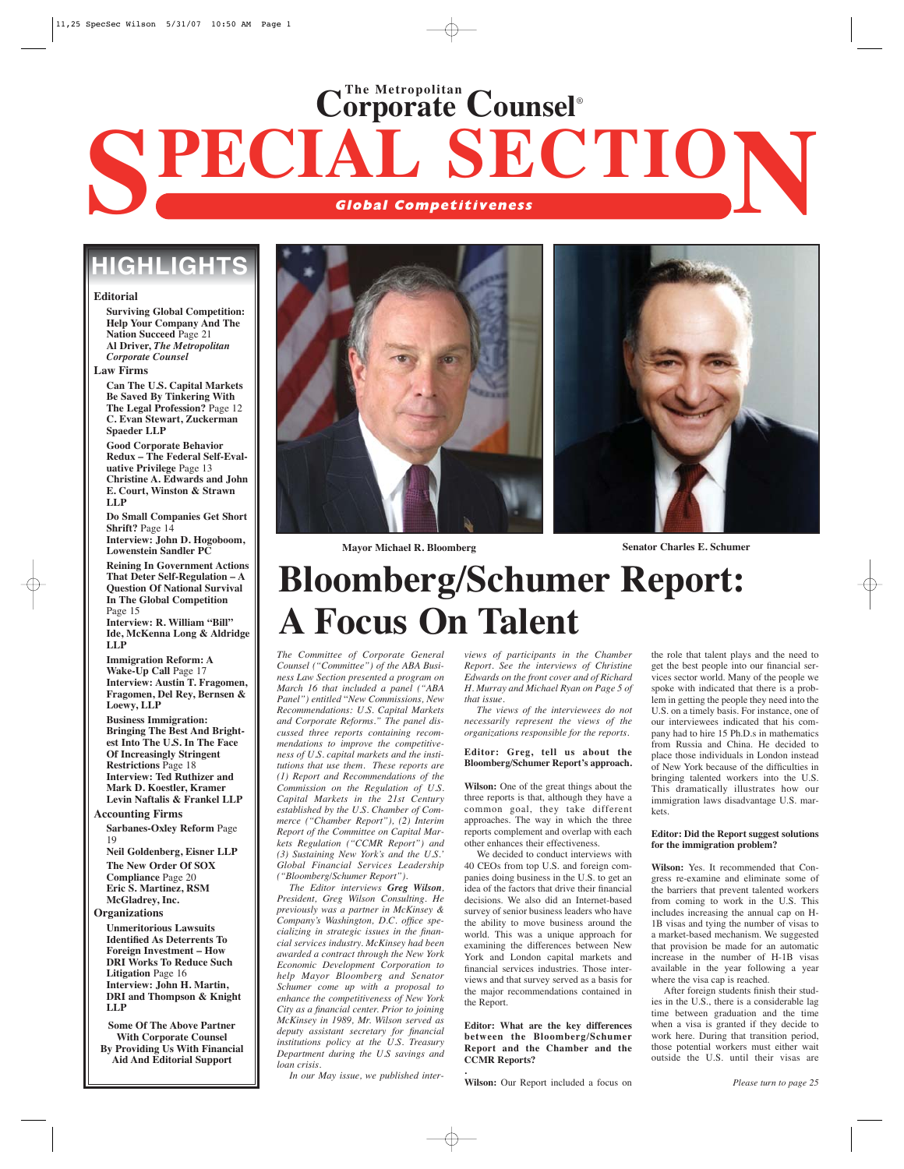# **SPECIAL SECTIO Global Competitiveness N Corporate Counsel**® **The Metropolitan**

## **HIGHLIGHT**

**Editorial**

**Surviving Global Competition: Help Your Company And The Nation Succeed** Page 21 **Al Driver,** *The Metropolitan Corporate Counsel*

**Law Firms**

**Can The U.S. Capital Markets Be Saved By Tinkering With The Legal Profession?** Page 12 **C. Evan Stewart, Zuckerman Spaeder LLP**

**Good Corporate Behavior Redux – The Federal Self-Evaluative Privilege** Page 13 **Christine A. Edwards and John E. Court, Winston & Strawn LLP**

**Do Small Companies Get Short Shrift?** Page 14 **Interview: John D. Hogoboom,**

**Lowenstein Sandler PC**

**Reining In Government Actions That Deter Self-Regulation – A Question Of National Survival In The Global Competition** Page 15

**Interview: R. William "Bill" Ide, McKenna Long & Aldridge LLP**

**Immigration Reform: A Wake-Up Call** Page 17 **Interview: Austin T. Fragomen, Fragomen, Del Rey, Bernsen & Loewy, LLP Business Immigration: Bringing The Best And Brightest Into The U.S. In The Face**

**Of Increasingly Stringent Restrictions** Page 18 **Interview: Ted Ruthizer and Mark D. Koestler, Kramer Levin Naftalis & Frankel LLP**

**Accounting Firms**

**Sarbanes-Oxley Reform** Page 19

**Neil Goldenberg, Eisner LLP The New Order Of SOX Compliance** Page 20 **Eric S. Martinez, RSM McGladrey, Inc.** 

#### **Organizations**

**Unmeritorious Lawsuits Identified As Deterrents To Foreign Investment – How DRI Works To Reduce Such Litigation** Page 16 **Interview: John H. Martin, DRI and Thompson & Knight LLP**

**Some Of The Above Partner With Corporate Counsel By Providing Us With Financial Aid And Editorial Support**





**Mayor Michael R. Bloomberg Senator Charles E. Schumer**

# **Bloomberg/Schumer Report: A Focus On Talent**

*The Committee of Corporate General Counsel ("Committee") of the ABA Business Law Section presented a program on March 16 that included a panel ("ABA Panel") entitled* "*New Commissions, New Recommendations: U.S. Capital Markets and Corporate Reforms." The panel discussed three reports containing recommendations to improve the competitiveness of U.S. capital markets and the institutions that use them. These reports are (1) Report and Recommendations of the Commission on the Regulation of U.S. Capital Markets in the 21st Century established by the U.S. Chamber of Commerce ("Chamber Report"), (2) Interim Report of the Committee on Capital Markets Regulation ("CCMR Report") and (3) Sustaining New York's and the U.S.' Global Financial Services Leadership ("Bloomberg/Schumer Report").* 

*The Editor interviews Greg Wilson, President, Greg Wilson Consulting. He previously was a partner in McKinsey & Company's Washington, D.C. office specializing in strategic issues in the financial services industry. McKinsey had been awarded a contract through the New York Economic Development Corporation to help Mayor Bloomberg and Senator Schumer come up with a proposal to enhance the competitiveness of New York City as a financial center. Prior to joining McKinsey in 1989, Mr. Wilson served as deputy assistant secretary for financial institutions policy at the U.S. Treasury Department during the U.S savings and loan crisis.* 

*In our May issue, we published inter-*

*views of participants in the Chamber Report. See the interviews of Christine Edwards on the front cover and of Richard H. Murray and Michael Ryan on Page 5 of that issue.*

*The views of the interviewees do not necessarily represent the views of the organizations responsible for the reports.*

#### **Editor: Greg, tell us about the Bloomberg/Schumer Report's approach.**

**Wilson:** One of the great things about the three reports is that, although they have a common goal, they take different approaches. The way in which the three reports complement and overlap with each other enhances their effectiveness.

We decided to conduct interviews with 40 CEOs from top U.S. and foreign companies doing business in the U.S. to get an idea of the factors that drive their financial decisions. We also did an Internet-based survey of senior business leaders who have the ability to move business around the world. This was a unique approach for examining the differences between New York and London capital markets and financial services industries. Those interviews and that survey served as a basis for the major recommendations contained in the Report.

**Editor: What are the key differences between the Bloomberg/Schumer Report and the Chamber and the CCMR Reports?**

**Wilson:** Our Report included a focus on

**.**

the role that talent plays and the need to get the best people into our financial services sector world. Many of the people we spoke with indicated that there is a problem in getting the people they need into the U.S. on a timely basis. For instance, one of our interviewees indicated that his company had to hire 15 Ph.D.s in mathematics from Russia and China. He decided to place those individuals in London instead of New York because of the difficulties in bringing talented workers into the U.S. This dramatically illustrates how our immigration laws disadvantage U.S. markets.

#### **Editor: Did the Report suggest solutions for the immigration problem?**

**Wilson:** Yes. It recommended that Congress re-examine and eliminate some of the barriers that prevent talented workers from coming to work in the U.S. This includes increasing the annual cap on H-1B visas and tying the number of visas to a market-based mechanism. We suggested that provision be made for an automatic increase in the number of H-1B visas available in the year following a year where the visa cap is reached.

After foreign students finish their studies in the U.S., there is a considerable lag time between graduation and the time when a visa is granted if they decide to work here. During that transition period, those potential workers must either wait outside the U.S. until their visas are